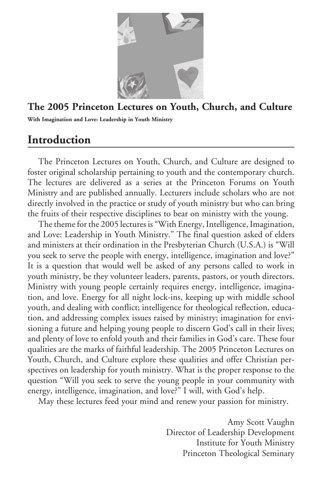

## **The 2005 Princeton Lectures on Youth, Church, and Culture**

**With Imagination and Love: Leadership in Youth Ministry**

# **Introduction**

The Princeton Lectures on Youth, Church, and Culture are designed to foster original scholarship pertaining to youth and the contemporary church. The lectures are delivered as a series at the Princeton Forums on Youth Ministry and are published annually. Lecturers include scholars who are not directly involved in the practice or study of youth ministry but who can bring the fruits of their respective disciplines to bear on ministry with the young.

The theme for the 2005 lectures is "With Energy, Intelligence, Imagination, and Love: Leadership in Youth Ministry." The final question asked of elders and ministers at their ordination in the Presbyterian Church (U.S.A.) is "Will you seek to serve the people with energy, intelligence, imagination and love?" It is a question that would well be asked of any persons called to work in youth ministry, be they volunteer leaders, parents, pastors, or youth directors. Ministry with young people certainly requires energy, intelligence, imagination, and love. Energy for all night lock-ins, keeping up with middle school youth, and dealing with conflict; intelligence for theological reflection, education, and addressing complex issues raised by ministry; imagination for envisioning a future and helping young people to discern God's call in their lives; and plenty of love to enfold youth and their families in God's care. These four qualities are the marks of faithful leadership. The 2005 Princeton Lectures on Youth, Church, and Culture explore these qualities and offer Christian perspectives on leadership for youth ministry. What is the proper response to the question "Will you seek to serve the young people in your community with energy, intelligence, imagination, and love?" I will, with God's help.

May these lectures feed your mind and renew your passion for ministry.

Amy Scott Vaughn Director of Leadership Development Institute for Youth Ministry Princeton Theological Seminary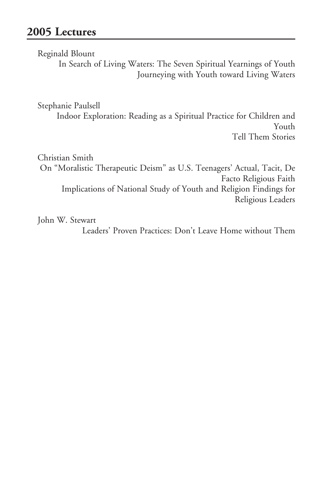Reginald Blount

 In Search of Living Waters: The Seven Spiritual Yearnings of Youth Journeying with Youth toward Living Waters

Stephanie Paulsell

 Indoor Exploration: Reading as a Spiritual Practice for Children and Youth Tell Them Stories

Christian Smith On "Moralistic Therapeutic Deism" as U.S. Teenagers' Actual, Tacit, De Facto Religious Faith Implications of National Study of Youth and Religion Findings for Religious Leaders

John W. Stewart

Leaders' Proven Practices: Don't Leave Home without Them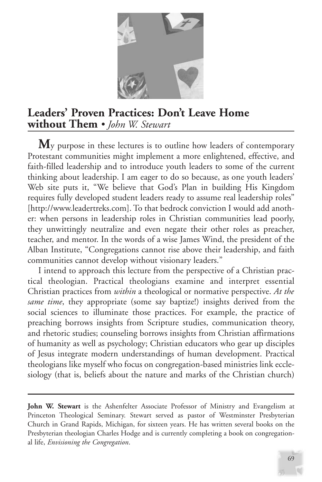

# **Leaders' Proven Practices: Don't Leave Home without Them** *• John W. Stewart*

M<sub>y</sub> purpose in these lectures is to outline how leaders of contemporary Protestant communities might implement a more enlightened, effective, and faith-filled leadership and to introduce youth leaders to some of the current thinking about leadership. I am eager to do so because, as one youth leaders' Web site puts it, "We believe that God's Plan in building His Kingdom requires fully developed student leaders ready to assume real leadership roles" [http://www.leadertreks.com]. To that bedrock conviction I would add another: when persons in leadership roles in Christian communities lead poorly, they unwittingly neutralize and even negate their other roles as preacher, teacher, and mentor. In the words of a wise James Wind, the president of the Alban Institute, "Congregations cannot rise above their leadership, and faith communities cannot develop without visionary leaders."

I intend to approach this lecture from the perspective of a Christian practical theologian. Practical theologians examine and interpret essential Christian practices from *within* a theological or normative perspective. *At the same time*, they appropriate (some say baptize!) insights derived from the social sciences to illuminate those practices. For example, the practice of preaching borrows insights from Scripture studies, communication theory, and rhetoric studies; counseling borrows insights from Christian affirmations of humanity as well as psychology; Christian educators who gear up disciples of Jesus integrate modern understandings of human development. Practical theologians like myself who focus on congregation-based ministries link ecclesiology (that is, beliefs about the nature and marks of the Christian church)

**John W. Stewart** is the Ashenfelter Associate Professor of Ministry and Evangelism at Princeton Theological Seminary. Stewart served as pastor of Westminster Presbyterian Church in Grand Rapids, Michigan, for sixteen years. He has written several books on the Presbyterian theologian Charles Hodge and is currently completing a book on congregational life, *Envisioning the Congregation*.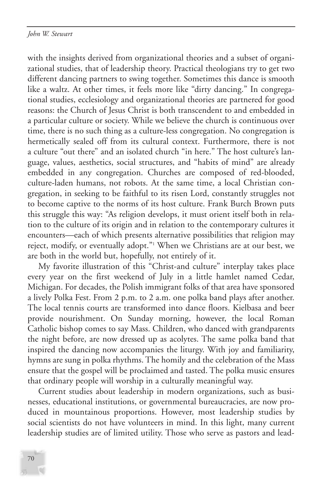with the insights derived from organizational theories and a subset of organizational studies, that of leadership theory. Practical theologians try to get two different dancing partners to swing together. Sometimes this dance is smooth like a waltz. At other times, it feels more like "dirty dancing." In congregational studies, ecclesiology and organizational theories are partnered for good reasons: the Church of Jesus Christ is both transcendent to and embedded in a particular culture or society. While we believe the church is continuous over time, there is no such thing as a culture-less congregation. No congregation is hermetically sealed off from its cultural context. Furthermore, there is not a culture "out there" and an isolated church "in here." The host culture's language, values, aesthetics, social structures, and "habits of mind" are already embedded in any congregation. Churches are composed of red-blooded, culture-laden humans, not robots. At the same time, a local Christian congregation, in seeking to be faithful to its risen Lord, constantly struggles not to become captive to the norms of its host culture. Frank Burch Brown puts this struggle this way: "As religion develops, it must orient itself both in relation to the culture of its origin and in relation to the contemporary cultures it encounters—each of which presents alternative possibilities that religion may reject, modify, or eventually adopt."1 When we Christians are at our best, we are both in the world but, hopefully, not entirely of it.

My favorite illustration of this "Christ-and culture" interplay takes place every year on the first weekend of July in a little hamlet named Cedar, Michigan. For decades, the Polish immigrant folks of that area have sponsored a lively Polka Fest. From 2 p.m. to 2 a.m. one polka band plays after another. The local tennis courts are transformed into dance floors. Kielbasa and beer provide nourishment. On Sunday morning, however, the local Roman Catholic bishop comes to say Mass. Children, who danced with grandparents the night before, are now dressed up as acolytes. The same polka band that inspired the dancing now accompanies the liturgy. With joy and familiarity, hymns are sung in polka rhythms. The homily and the celebration of the Mass ensure that the gospel will be proclaimed and tasted. The polka music ensures that ordinary people will worship in a culturally meaningful way.

Current studies about leadership in modern organizations, such as businesses, educational institutions, or governmental bureaucracies, are now produced in mountainous proportions. However, most leadership studies by social scientists do not have volunteers in mind. In this light, many current leadership studies are of limited utility. Those who serve as pastors and lead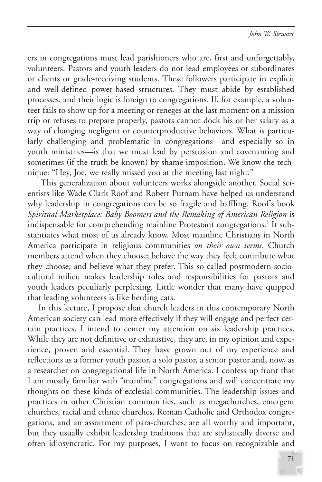ers in congregations must lead parishioners who are, first and unforgettably, volunteers. Pastors and youth leaders do not lead employees or subordinates or clients or grade-receiving students. These followers participate in explicit and well-defined power-based structures. They must abide by established processes, and their logic is foreign to congregations. If, for example, a volunteer fails to show up for a meeting or reneges at the last moment on a mission trip or refuses to prepare properly, pastors cannot dock his or her salary as a way of changing negligent or counterproductive behaviors. What is particularly challenging and problematic in congregations—and especially so in youth ministries—is that we must lead by persuasion and covenanting and sometimes (if the truth be known) by shame imposition. We know the technique: "Hey, Joe, we really missed you at the meeting last night."

This generalization about volunteers works alongside another. Social scientists like Wade Clark Roof and Robert Putnam have helped us understand why leadership in congregations can be so fragile and baffling. Roof's book *Spiritual Marketplace: Baby Boomers and the Remaking of American Religion* is indispensable for comprehending mainline Protestant congregations.<sup>2</sup> It substantiates what most of us already know. Most mainline Christians in North America participate in religious communities *on their own terms*. Church members attend when they choose; behave the way they feel; contribute what they choose; and believe what they prefer. This so-called postmodern sociocultural milieu makes leadership roles and responsibilities for pastors and youth leaders peculiarly perplexing. Little wonder that many have quipped that leading volunteers is like herding cats.

In this lecture, I propose that church leaders in this contemporary North American society can lead more effectively if they will engage and perfect certain practices. I intend to center my attention on six leadership practices. While they are not definitive or exhaustive, they are, in my opinion and experience, proven and essential. They have grown out of my experience and reflections as a former youth pastor, a solo pastor, a senior pastor and, now, as a researcher on congregational life in North America. I confess up front that I am mostly familiar with "mainline" congregations and will concentrate my thoughts on these kinds of ecclesial communities. The leadership issues and practices in other Christian communities, such as megachurches, emergent churches, racial and ethnic churches, Roman Catholic and Orthodox congregations, and an assortment of para-churches, are all worthy and important, but they usually exhibit leadership traditions that are stylistically diverse and often idiosyncratic. For my purposes, I want to focus on recognizable and

71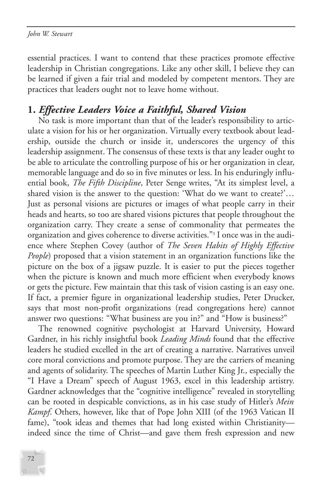essential practices. I want to contend that these practices promote effective leadership in Christian congregations. Like any other skill, I believe they can be learned if given a fair trial and modeled by competent mentors. They are practices that leaders ought not to leave home without.

## **1.** *Effective Leaders Voice a Faithful, Shared Vision*

No task is more important than that of the leader's responsibility to articulate a vision for his or her organization. Virtually every textbook about leadership, outside the church or inside it, underscores the urgency of this leadership assignment. The consensus of these texts is that any leader ought to be able to articulate the controlling purpose of his or her organization in clear, memorable language and do so in five minutes or less. In his enduringly influential book, *The Fifth Discipline*, Peter Senge writes, "At its simplest level, a shared vision is the answer to the question: 'What do we want to create?'… Just as personal visions are pictures or images of what people carry in their heads and hearts, so too are shared visions pictures that people throughout the organization carry. They create a sense of commonality that permeates the organization and gives coherence to diverse activities."3 I once was in the audience where Stephen Covey (author of *The Seven Habits of Highly Effective People*) proposed that a vision statement in an organization functions like the picture on the box of a jigsaw puzzle. It is easier to put the pieces together when the picture is known and much more efficient when everybody knows or gets the picture. Few maintain that this task of vision casting is an easy one. If fact, a premier figure in organizational leadership studies, Peter Drucker, says that most non-profit organizations (read congregations here) cannot answer two questions: "What business are you in?" and "How is business?"

The renowned cognitive psychologist at Harvard University, Howard Gardner, in his richly insightful book *Leading Minds* found that the effective leaders he studied excelled in the art of creating a narrative. Narratives unveil core moral convictions and promote purpose. They are the carriers of meaning and agents of solidarity. The speeches of Martin Luther King Jr., especially the "I Have a Dream" speech of August 1963, excel in this leadership artistry. Gardner acknowledges that the "cognitive intelligence" revealed in storytelling can be rooted in despicable convictions, as in his case study of Hitler's *Mein Kampf*. Others, however, like that of Pope John XIII (of the 1963 Vatican II fame), "took ideas and themes that had long existed within Christianity indeed since the time of Christ—and gave them fresh expression and new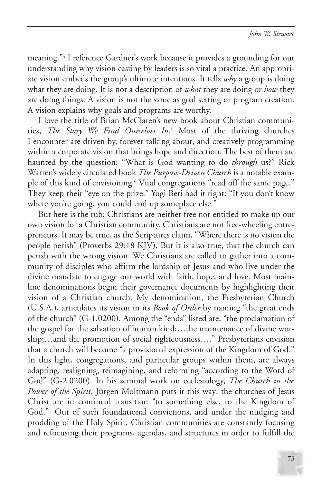meaning."4 I reference Gardner's work because it provides a grounding for our understanding why vision casting by leaders is so vital a practice. An appropriate vision embeds the group's ultimate intentions. It tells *why* a group is doing what they are doing. It is not a description of *what* they are doing or *how* they are doing things. A vision is not the same as goal setting or program creation. A vision explains why goals and programs are worthy.

I love the title of Brian McClaren's new book about Christian communities, *The Story We Find Ourselves In*. <sup>5</sup> Most of the thriving churches I encounter are driven by, forever talking about, and creatively programming within a corporate vision that brings hope and direction. The best of them are haunted by the question: "What is God wanting to do *through* us?" Rick Warren's widely circulated book *The Purpose-Driven Church* is a notable example of this kind of envisioning.<sup>6</sup> Vital congregations "read off the same page." They keep their "eye on the prize." Yogi Beri had it right: "If you don't know where you're going, you could end up someplace else."

But here is the rub: Christians are neither free nor entitled to make up our own vision for a Christian community. Christians are not free-wheeling entrepreneurs. It may be true, as the Scriptures claim, "Where there is no vision the people perish" (Proverbs 29:18 KJV). But it is also true, that the church can perish with the wrong vision. We Christians are called to gather into a community of disciples who affirm the lordship of Jesus and who live under the divine mandate to engage our world with faith, hope, and love. Most mainline denominations begin their governance documents by highlighting their vision of a Christian church. My denomination, the Presbyterian Church (U.S.A.), articulates its vision in its *Book of Order* by naming "the great ends of the church" (G-1.0200). Among the "ends" listed are, "the proclamation of the gospel for the salvation of human kind;…the maintenance of divine worship;…and the promotion of social righteousness…." Presbyterians envision that a church will become "a provisional expression of the Kingdom of God." In this light, congregations, and particular groups within them, are always adapting, realigning, reimagining, and reforming "according to the Word of God" (G-2.0200). In his seminal work on ecclesiology, *The Church in the Power of the Spirit*, Jürgen Moltmann puts it this way: the churches of Jesus Christ are in continual transition "to something else, to the Kingdom of God."7 Out of such foundational convictions, and under the nudging and prodding of the Holy Spirit, Christian communities are constantly focusing and refocusing their programs, agendas, and structures in order to fulfill the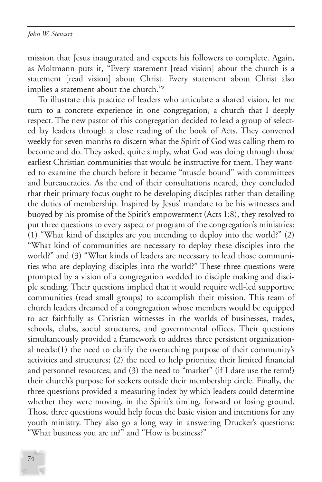mission that Jesus inaugurated and expects his followers to complete. Again, as Moltmann puts it, "Every statement [read vision] about the church is a statement [read vision] about Christ. Every statement about Christ also implies a statement about the church."8

To illustrate this practice of leaders who articulate a shared vision, let me turn to a concrete experience in one congregation, a church that I deeply respect. The new pastor of this congregation decided to lead a group of selected lay leaders through a close reading of the book of Acts. They convened weekly for seven months to discern what the Spirit of God was calling them to become and do. They asked, quite simply, what God was doing through those earliest Christian communities that would be instructive for them. They wanted to examine the church before it became "muscle bound" with committees and bureaucracies. As the end of their consultations neared, they concluded that their primary focus ought to be developing disciples rather than detailing the duties of membership. Inspired by Jesus' mandate to be his witnesses and buoyed by his promise of the Spirit's empowerment (Acts 1:8), they resolved to put three questions to every aspect or program of the congregation's ministries: (1) "What kind of disciples are you intending to deploy into the world?" (2) "What kind of communities are necessary to deploy these disciples into the world?" and (3) "What kinds of leaders are necessary to lead those communities who are deploying disciples into the world?" These three questions were prompted by a vision of a congregation wedded to disciple making and disciple sending. Their questions implied that it would require well-led supportive communities (read small groups) to accomplish their mission. This team of church leaders dreamed of a congregation whose members would be equipped to act faithfully as Christian witnesses in the worlds of businesses, trades, schools, clubs, social structures, and governmental offices. Their questions simultaneously provided a framework to address three persistent organizational needs:(1) the need to clarify the overarching purpose of their community's activities and structures; (2) the need to help prioritize their limited financial and personnel resources; and (3) the need to "market" (if I dare use the term!) their church's purpose for seekers outside their membership circle. Finally, the three questions provided a measuring index by which leaders could determine whether they were moving, in the Spirit's timing, forward or losing ground. Those three questions would help focus the basic vision and intentions for any youth ministry. They also go a long way in answering Drucker's questions: "What business you are in?" and "How is business?"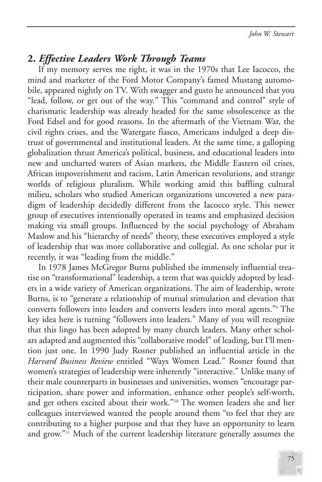## **2.** *Effective Leaders Work Through Teams*

If my memory serves me right, it was in the 1970s that Lee Iacocco, the mind and marketer of the Ford Motor Company's famed Mustang automobile, appeared nightly on TV. With swagger and gusto he announced that you "lead, follow, or get out of the way." This "command and control" style of charismatic leadership was already headed for the same obsolescence as the Ford Edsel and for good reasons. In the aftermath of the Vietnam War, the civil rights crises, and the Watergate fiasco, Americans indulged a deep distrust of governmental and institutional leaders. At the same time, a galloping globalization thrust America's political, business, and educational leaders into new and uncharted waters of Asian markets, the Middle Eastern oil crises, African impoverishment and racism, Latin American revolutions, and strange worlds of religious pluralism. While working amid this baffling cultural milieu, scholars who studied American organizations uncovered a new paradigm of leadership decidedly different from the Iacocco style. This newer group of executives intentionally operated in teams and emphasized decision making via small groups. Influenced by the social psychology of Abraham Maslow and his "hierarchy of needs" theory, these executives employed a style of leadership that was more collaborative and collegial. As one scholar put it recently, it was "leading from the middle."

In 1978 James McGregor Burns published the immensely influential treatise on "transformational" leadership, a term that was quickly adopted by leaders in a wide variety of American organizations. The aim of leadership, wrote Burns, is to "generate a relationship of mutual stimulation and elevation that converts followers into leaders and converts leaders into moral agents."9 The key idea here is turning "followers into leaders." Many of you will recognize that this lingo has been adopted by many church leaders. Many other scholars adapted and augmented this "collaborative model" of leading, but I'll mention just one. In 1990 Judy Rosner published an influential article in the *Harvard Business Review* entitled "Ways Women Lead." Rosner found that women's strategies of leadership were inherently "interactive." Unlike many of their male counterparts in businesses and universities, women "encourage participation, share power and information, enhance other people's self-worth, and get others excited about their work."10 The women leaders she and her colleagues interviewed wanted the people around them "to feel that they are contributing to a higher purpose and that they have an opportunity to learn and grow."11 Much of the current leadership literature generally assumes the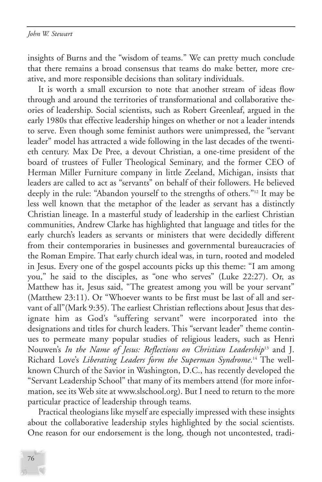insights of Burns and the "wisdom of teams." We can pretty much conclude that there remains a broad consensus that teams do make better, more creative, and more responsible decisions than solitary individuals.

It is worth a small excursion to note that another stream of ideas flow through and around the territories of transformational and collaborative theories of leadership. Social scientists, such as Robert Greenleaf, argued in the early 1980s that effective leadership hinges on whether or not a leader intends to serve. Even though some feminist authors were unimpressed, the "servant leader" model has attracted a wide following in the last decades of the twentieth century. Max De Pree, a devout Christian, a one-time president of the board of trustees of Fuller Theological Seminary, and the former CEO of Herman Miller Furniture company in little Zeeland, Michigan, insists that leaders are called to act as "servants" on behalf of their followers. He believed deeply in the rule: "Abandon yourself to the strengths of others."12 It may be less well known that the metaphor of the leader as servant has a distinctly Christian lineage. In a masterful study of leadership in the earliest Christian communities, Andrew Clarke has highlighted that language and titles for the early church's leaders as servants or ministers that were decidedly different from their contemporaries in businesses and governmental bureaucracies of the Roman Empire. That early church ideal was, in turn, rooted and modeled in Jesus. Every one of the gospel accounts picks up this theme: "I am among you," he said to the disciples, as "one who serves" (Luke 22:27). Or, as Matthew has it, Jesus said, "The greatest among you will be your servant" (Matthew 23:11). Or "Whoever wants to be first must be last of all and servant of all"(Mark 9:35). The earliest Christian reflections about Jesus that designate him as God's "suffering servant" were incorporated into the designations and titles for church leaders. This "servant leader" theme continues to permeate many popular studies of religious leaders, such as Henri Nouwen's *In the Name of Jesus: Reflections on Christian Leadership*<sup>13</sup> and J. Richard Love's *Liberating Leaders form the Superman Syndrome*. <sup>14</sup> The wellknown Church of the Savior in Washington, D.C., has recently developed the "Servant Leadership School" that many of its members attend (for more information, see its Web site at www.slschool.org). But I need to return to the more particular practice of leadership through teams.

Practical theologians like myself are especially impressed with these insights about the collaborative leadership styles highlighted by the social scientists. One reason for our endorsement is the long, though not uncontested, tradi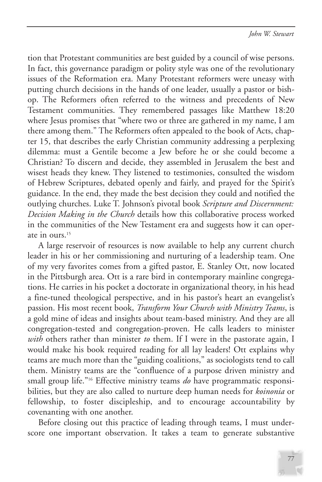tion that Protestant communities are best guided by a council of wise persons. In fact, this governance paradigm or polity style was one of the revolutionary issues of the Reformation era. Many Protestant reformers were uneasy with putting church decisions in the hands of one leader, usually a pastor or bishop. The Reformers often referred to the witness and precedents of New Testament communities. They remembered passages like Matthew 18:20 where Jesus promises that "where two or three are gathered in my name, I am there among them." The Reformers often appealed to the book of Acts, chapter 15, that describes the early Christian community addressing a perplexing dilemma: must a Gentile become a Jew before he or she could become a Christian? To discern and decide, they assembled in Jerusalem the best and wisest heads they knew. They listened to testimonies, consulted the wisdom of Hebrew Scriptures, debated openly and fairly, and prayed for the Spirit's guidance. In the end, they made the best decision they could and notified the outlying churches. Luke T. Johnson's pivotal book *Scripture and Discernment: Decision Making in the Church* details how this collaborative process worked in the communities of the New Testament era and suggests how it can operate in ours.15

A large reservoir of resources is now available to help any current church leader in his or her commissioning and nurturing of a leadership team. One of my very favorites comes from a gifted pastor, E. Stanley Ott, now located in the Pittsburgh area. Ott is a rare bird in contemporary mainline congregations. He carries in his pocket a doctorate in organizational theory, in his head a fine-tuned theological perspective, and in his pastor's heart an evangelist's passion. His most recent book, *Transform Your Church with Ministry Teams*, is a gold mine of ideas and insights about team-based ministry. And they are all congregation-tested and congregation-proven. He calls leaders to minister *with* others rather than minister *to* them. If I were in the pastorate again, I would make his book required reading for all lay leaders! Ott explains why teams are much more than the "guiding coalitions," as sociologists tend to call them. Ministry teams are the "confluence of a purpose driven ministry and small group life."16 Effective ministry teams *do* have programmatic responsibilities, but they are also called to nurture deep human needs for *koinonia* or fellowship, to foster discipleship, and to encourage accountability by covenanting with one another.

Before closing out this practice of leading through teams, I must underscore one important observation. It takes a team to generate substantive

77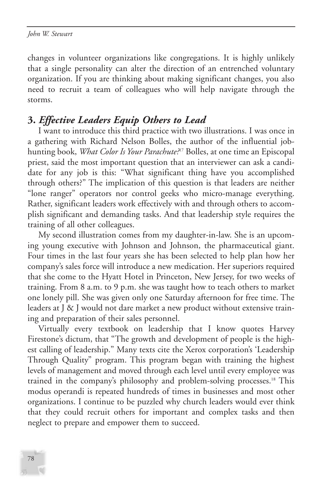changes in volunteer organizations like congregations. It is highly unlikely that a single personality can alter the direction of an entrenched voluntary organization. If you are thinking about making significant changes, you also need to recruit a team of colleagues who will help navigate through the storms.

# **3.** *Effective Leaders Equip Others to Lead*

I want to introduce this third practice with two illustrations. I was once in a gathering with Richard Nelson Bolles, the author of the influential jobhunting book, *What Color Is Your Parachute?*<sup>17</sup> Bolles, at one time an Episcopal priest, said the most important question that an interviewer can ask a candidate for any job is this: "What significant thing have you accomplished through others?" The implication of this question is that leaders are neither "lone ranger" operators nor control geeks who micro-manage everything. Rather, significant leaders work effectively with and through others to accomplish significant and demanding tasks. And that leadership style requires the training of all other colleagues.

My second illustration comes from my daughter-in-law. She is an upcoming young executive with Johnson and Johnson, the pharmaceutical giant. Four times in the last four years she has been selected to help plan how her company's sales force will introduce a new medication. Her superiors required that she come to the Hyatt Hotel in Princeton, New Jersey, for two weeks of training. From 8 a.m. to 9 p.m. she was taught how to teach others to market one lonely pill. She was given only one Saturday afternoon for free time. The leaders at J & J would not dare market a new product without extensive training and preparation of their sales personnel.

Virtually every textbook on leadership that I know quotes Harvey Firestone's dictum, that "The growth and development of people is the highest calling of leadership." Many texts cite the Xerox corporation's 'Leadership Through Quality" program. This program began with training the highest levels of management and moved through each level until every employee was trained in the company's philosophy and problem-solving processes.18 This modus operandi is repeated hundreds of times in businesses and most other organizations. I continue to be puzzled why church leaders would ever think that they could recruit others for important and complex tasks and then neglect to prepare and empower them to succeed.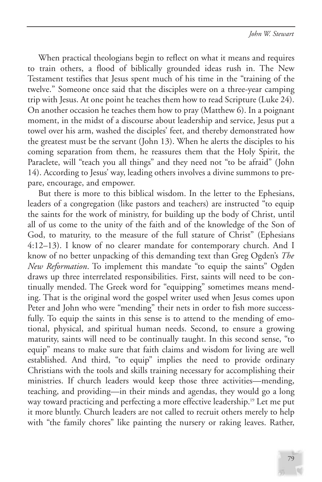When practical theologians begin to reflect on what it means and requires to train others, a flood of biblically grounded ideas rush in. The New Testament testifies that Jesus spent much of his time in the "training of the twelve." Someone once said that the disciples were on a three-year camping trip with Jesus. At one point he teaches them how to read Scripture (Luke 24). On another occasion he teaches them how to pray (Matthew 6). In a poignant moment, in the midst of a discourse about leadership and service, Jesus put a towel over his arm, washed the disciples' feet, and thereby demonstrated how the greatest must be the servant (John 13). When he alerts the disciples to his coming separation from them, he reassures them that the Holy Spirit, the Paraclete, will "teach you all things" and they need not "to be afraid" (John 14). According to Jesus' way, leading others involves a divine summons to prepare, encourage, and empower.

But there is more to this biblical wisdom. In the letter to the Ephesians, leaders of a congregation (like pastors and teachers) are instructed "to equip the saints for the work of ministry, for building up the body of Christ, until all of us come to the unity of the faith and of the knowledge of the Son of God, to maturity, to the measure of the full stature of Christ" (Ephesians 4:12–13). I know of no clearer mandate for contemporary church. And I know of no better unpacking of this demanding text than Greg Ogden's *The New Reformation*. To implement this mandate "to equip the saints" Ogden draws up three interrelated responsibilities. First, saints will need to be continually mended. The Greek word for "equipping" sometimes means mending. That is the original word the gospel writer used when Jesus comes upon Peter and John who were "mending" their nets in order to fish more successfully. To equip the saints in this sense is to attend to the mending of emotional, physical, and spiritual human needs. Second, to ensure a growing maturity, saints will need to be continually taught. In this second sense, "to equip" means to make sure that faith claims and wisdom for living are well established. And third, "to equip" implies the need to provide ordinary Christians with the tools and skills training necessary for accomplishing their ministries. If church leaders would keep those three activities—mending, teaching, and providing—in their minds and agendas, they would go a long way toward practicing and perfecting a more effective leadership.<sup>19</sup> Let me put it more bluntly. Church leaders are not called to recruit others merely to help with "the family chores" like painting the nursery or raking leaves. Rather,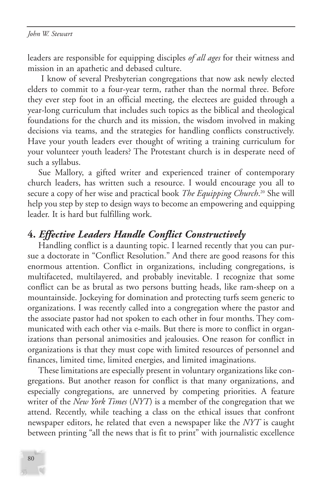leaders are responsible for equipping disciples *of all ages* for their witness and mission in an apathetic and debased culture.

I know of several Presbyterian congregations that now ask newly elected elders to commit to a four-year term, rather than the normal three. Before they ever step foot in an official meeting, the electees are guided through a year-long curriculum that includes such topics as the biblical and theological foundations for the church and its mission, the wisdom involved in making decisions via teams, and the strategies for handling conflicts constructively. Have your youth leaders ever thought of writing a training curriculum for your volunteer youth leaders? The Protestant church is in desperate need of such a syllabus.

Sue Mallory, a gifted writer and experienced trainer of contemporary church leaders, has written such a resource. I would encourage you all to secure a copy of her wise and practical book *The Equipping Church*. <sup>20</sup> She will help you step by step to design ways to become an empowering and equipping leader. It is hard but fulfilling work.

## **4.** *Effective Leaders Handle Conflict Constructively*

Handling conflict is a daunting topic. I learned recently that you can pursue a doctorate in "Conflict Resolution." And there are good reasons for this enormous attention. Conflict in organizations, including congregations, is multifaceted, multilayered, and probably inevitable. I recognize that some conflict can be as brutal as two persons butting heads, like ram-sheep on a mountainside. Jockeying for domination and protecting turfs seem generic to organizations. I was recently called into a congregation where the pastor and the associate pastor had not spoken to each other in four months. They communicated with each other via e-mails. But there is more to conflict in organizations than personal animosities and jealousies. One reason for conflict in organizations is that they must cope with limited resources of personnel and finances, limited time, limited energies, and limited imaginations.

These limitations are especially present in voluntary organizations like congregations. But another reason for conflict is that many organizations, and especially congregations, are unnerved by competing priorities. A feature writer of the *New York Times* (*NYT*) is a member of the congregation that we attend. Recently, while teaching a class on the ethical issues that confront newspaper editors, he related that even a newspaper like the *NYT* is caught between printing "all the news that is fit to print" with journalistic excellence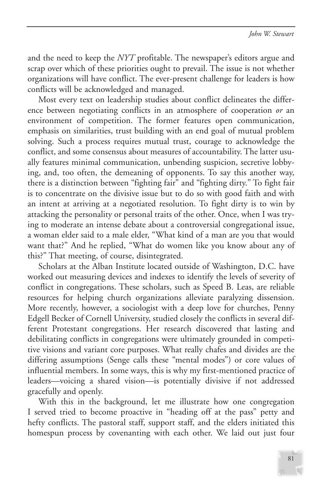and the need to keep the *NYT* profitable. The newspaper's editors argue and scrap over which of these priorities ought to prevail. The issue is not whether organizations will have conflict. The ever-present challenge for leaders is how conflicts will be acknowledged and managed.

Most every text on leadership studies about conflict delineates the difference between negotiating conflicts in an atmosphere of cooperation *or* an environment of competition. The former features open communication, emphasis on similarities, trust building with an end goal of mutual problem solving. Such a process requires mutual trust, courage to acknowledge the conflict, and some consensus about measures of accountability. The latter usually features minimal communication, unbending suspicion, secretive lobbying, and, too often, the demeaning of opponents. To say this another way, there is a distinction between "fighting fair" and "fighting dirty." To fight fair is to concentrate on the divisive issue but to do so with good faith and with an intent at arriving at a negotiated resolution. To fight dirty is to win by attacking the personality or personal traits of the other. Once, when I was trying to moderate an intense debate about a controversial congregational issue, a woman elder said to a male elder, "What kind of a man are you that would want that?" And he replied, "What do women like you know about any of this?" That meeting, of course, disintegrated.

Scholars at the Alban Institute located outside of Washington, D.C. have worked out measuring devices and indexes to identify the levels of severity of conflict in congregations. These scholars, such as Speed B. Leas, are reliable resources for helping church organizations alleviate paralyzing dissension. More recently, however, a sociologist with a deep love for churches, Penny Edgell Becker of Cornell University, studied closely the conflicts in several different Protestant congregations. Her research discovered that lasting and debilitating conflicts in congregations were ultimately grounded in competitive visions and variant core purposes. What really chafes and divides are the differing assumptions (Senge calls these "mental modes") or core values of influential members. In some ways, this is why my first-mentioned practice of leaders—voicing a shared vision—is potentially divisive if not addressed gracefully and openly.

With this in the background, let me illustrate how one congregation I served tried to become proactive in "heading off at the pass" petty and hefty conflicts. The pastoral staff, support staff, and the elders initiated this homespun process by covenanting with each other. We laid out just four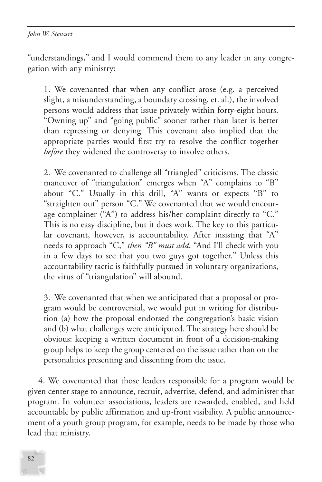"understandings," and I would commend them to any leader in any congregation with any ministry:

1. We covenanted that when any conflict arose (e.g. a perceived slight, a misunderstanding, a boundary crossing, et. al.), the involved persons would address that issue privately within forty-eight hours. "Owning up" and "going public" sooner rather than later is better than repressing or denying. This covenant also implied that the appropriate parties would first try to resolve the conflict together *before* they widened the controversy to involve others.

2. We covenanted to challenge all "triangled" criticisms. The classic maneuver of "triangulation" emerges when "A" complains to "B" about "C." Usually in this drill, "A" wants or expects "B" to "straighten out" person "C." We covenanted that we would encourage complainer ("A") to address his/her complaint directly to "C." This is no easy discipline, but it does work. The key to this particular covenant, however, is accountability. After insisting that "A" needs to approach "C," *then "B" must add*, "And I'll check with you in a few days to see that you two guys got together." Unless this accountability tactic is faithfully pursued in voluntary organizations, the virus of "triangulation" will abound.

3. We covenanted that when we anticipated that a proposal or program would be controversial, we would put in writing for distribution (a) how the proposal endorsed the congregation's basic vision and (b) what challenges were anticipated. The strategy here should be obvious: keeping a written document in front of a decision-making group helps to keep the group centered on the issue rather than on the personalities presenting and dissenting from the issue.

4. We covenanted that those leaders responsible for a program would be given center stage to announce, recruit, advertise, defend, and administer that program. In volunteer associations, leaders are rewarded, enabled, and held accountable by public affirmation and up-front visibility. A public announcement of a youth group program, for example, needs to be made by those who lead that ministry.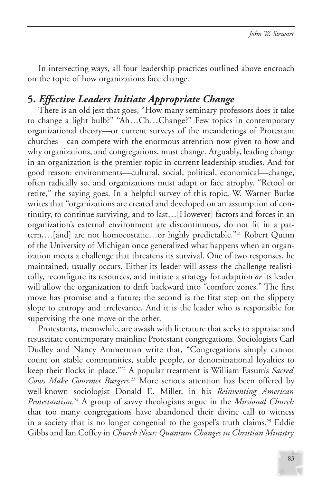In intersecting ways, all four leadership practices outlined above encroach on the topic of how organizations face change.

# **5.** *Effective Leaders Initiate Appropriate Change*

There is an old jest that goes, "How many seminary professors does it take to change a light bulb?" "Ah…Ch…Change?" Few topics in contemporary organizational theory—or current surveys of the meanderings of Protestant churches—can compete with the enormous attention now given to how and why organizations, and congregations, must change. Arguably, leading change in an organization is the premier topic in current leadership studies. And for good reason: environments—cultural, social, political, economical—change, often radically so, and organizations must adapt or face atrophy. "Retool or retire," the saying goes. In a helpful survey of this topic, W. Warner Burke writes that "organizations are created and developed on an assumption of continuity, to continue surviving, and to last…[However] factors and forces in an organization's external environment are discontinuous, do not fit in a pattern,…[and] are not homoeostatic…or highly predictable."21 Robert Quinn of the University of Michigan once generalized what happens when an organization meets a challenge that threatens its survival. One of two responses, he maintained, usually occurs. Either its leader will assess the challenge realistically, reconfigure its resources, and initiate a strategy for adaption *or* its leader will allow the organization to drift backward into "comfort zones." The first move has promise and a future; the second is the first step on the slippery slope to entropy and irrelevance. And it is the leader who is responsible for supervising the one move or the other.

Protestants, meanwhile, are awash with literature that seeks to appraise and resuscitate contemporary mainline Protestant congregations. Sociologists Carl Dudley and Nancy Ammerman write that, "Congregations simply cannot count on stable communities, stable people, or denominational loyalties to keep their flocks in place."22 A popular treatment is William Easum's *Sacred Cows Make Gourmet Burgers*. <sup>23</sup> More serious attention has been offered by well-known sociologist Donald E. Miller, in his *Reinventing American Protestantism*. <sup>24</sup> A group of savvy theologians argue in the *Missional Church* that too many congregations have abandoned their divine call to witness in a society that is no longer congenial to the gospel's truth claims.<sup>25</sup> Eddie Gibbs and Ian Coffey in *Church Next: Quantum Changes in Christian Ministry*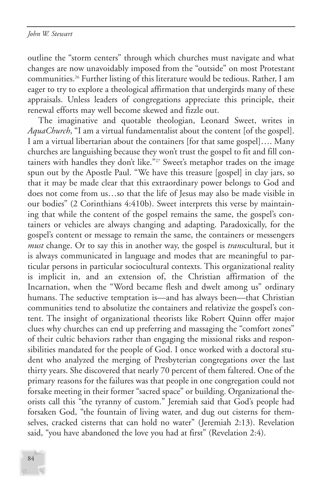outline the "storm centers" through which churches must navigate and what changes are now unavoidably imposed from the "outside" on most Protestant communities.26 Further listing of this literature would be tedious. Rather, I am eager to try to explore a theological affirmation that undergirds many of these appraisals. Unless leaders of congregations appreciate this principle, their renewal efforts may well become skewed and fizzle out.

The imaginative and quotable theologian, Leonard Sweet, writes in *AquaChurch*, "I am a virtual fundamentalist about the content [of the gospel]. I am a virtual libertarian about the containers [for that same gospel]…. Many churches are languishing because they won't trust the gospel to fit and fill containers with handles they don't like."<sup>27</sup> Sweet's metaphor trades on the image spun out by the Apostle Paul. "We have this treasure [gospel] in clay jars, so that it may be made clear that this extraordinary power belongs to God and does not come from us…so that the life of Jesus may also be made visible in our bodies" (2 Corinthians 4:410b). Sweet interprets this verse by maintaining that while the content of the gospel remains the same, the gospel's containers or vehicles are always changing and adapting. Paradoxically, for the gospel's content or message to remain the same, the containers or messengers *must* change. Or to say this in another way, the gospel is *trans*cultural, but it is always communicated in language and modes that are meaningful to particular persons in particular sociocultural contexts. This organizational reality is implicit in, and an extension of, the Christian affirmation of the Incarnation, when the "Word became flesh and dwelt among us" ordinary humans. The seductive temptation is—and has always been—that Christian communities tend to absolutize the containers and relativize the gospel's content. The insight of organizational theorists like Robert Quinn offer major clues why churches can end up preferring and massaging the "comfort zones" of their cultic behaviors rather than engaging the missional risks and responsibilities mandated for the people of God. I once worked with a doctoral student who analyzed the merging of Presbyterian congregations over the last thirty years. She discovered that nearly 70 percent of them faltered. One of the primary reasons for the failures was that people in one congregation could not forsake meeting in their former "sacred space" or building. Organizational theorists call this "the tyranny of custom." Jeremiah said that God's people had forsaken God, "the fountain of living water, and dug out cisterns for themselves, cracked cisterns that can hold no water" (Jeremiah 2:13). Revelation said, "you have abandoned the love you had at first" (Revelation 2:4).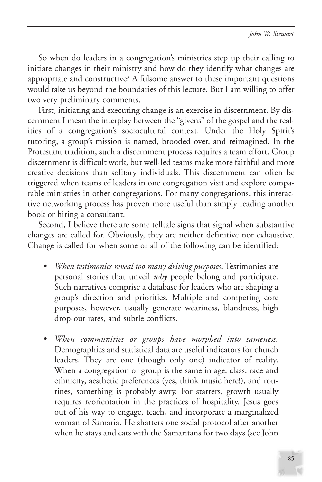So when do leaders in a congregation's ministries step up their calling to initiate changes in their ministry and how do they identify what changes are appropriate and constructive? A fulsome answer to these important questions would take us beyond the boundaries of this lecture. But I am willing to offer two very preliminary comments.

First, initiating and executing change is an exercise in discernment. By discernment I mean the interplay between the "givens" of the gospel and the realities of a congregation's sociocultural context. Under the Holy Spirit's tutoring, a group's mission is named, brooded over, and reimagined. In the Protestant tradition, such a discernment process requires a team effort. Group discernment is difficult work, but well-led teams make more faithful and more creative decisions than solitary individuals. This discernment can often be triggered when teams of leaders in one congregation visit and explore comparable ministries in other congregations. For many congregations, this interactive networking process has proven more useful than simply reading another book or hiring a consultant.

Second, I believe there are some telltale signs that signal when substantive changes are called for. Obviously, they are neither definitive nor exhaustive. Change is called for when some or all of the following can be identified:

- *When testimonies reveal too many driving purposes*. Testimonies are personal stories that unveil *why* people belong and participate. Such narratives comprise a database for leaders who are shaping a group's direction and priorities. Multiple and competing core purposes, however, usually generate weariness, blandness, high drop-out rates, and subtle conflicts.
- *When communities or groups have morphed into sameness.* Demographics and statistical data are useful indicators for church leaders. They are one (though only one) indicator of reality. When a congregation or group is the same in age, class, race and ethnicity, aesthetic preferences (yes, think music here!), and routines, something is probably awry. For starters, growth usually requires reorientation in the practices of hospitality. Jesus goes out of his way to engage, teach, and incorporate a marginalized woman of Samaria. He shatters one social protocol after another when he stays and eats with the Samaritans for two days (see John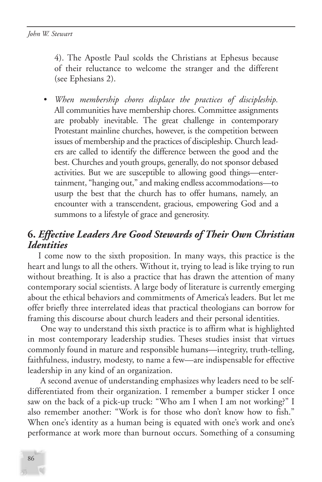4). The Apostle Paul scolds the Christians at Ephesus because of their reluctance to welcome the stranger and the different (see Ephesians 2).

• *When membership chores displace the practices of discipleship.* All communities have membership chores. Committee assignments are probably inevitable. The great challenge in contemporary Protestant mainline churches, however, is the competition between issues of membership and the practices of discipleship. Church leaders are called to identify the difference between the good and the best. Churches and youth groups, generally, do not sponsor debased activities. But we are susceptible to allowing good things—entertainment, "hanging out," and making endless accommodations—to usurp the best that the church has to offer humans, namely, an encounter with a transcendent, gracious, empowering God and a summons to a lifestyle of grace and generosity.

# **6.** *Effective Leaders Are Good Stewards of Their Own Christian Identities*

I come now to the sixth proposition. In many ways, this practice is the heart and lungs to all the others. Without it, trying to lead is like trying to run without breathing. It is also a practice that has drawn the attention of many contemporary social scientists. A large body of literature is currently emerging about the ethical behaviors and commitments of America's leaders. But let me offer briefly three interrelated ideas that practical theologians can borrow for framing this discourse about church leaders and their personal identities.

One way to understand this sixth practice is to affirm what is highlighted in most contemporary leadership studies. Theses studies insist that virtues commonly found in mature and responsible humans—integrity, truth-telling, faithfulness, industry, modesty, to name a few—are indispensable for effective leadership in any kind of an organization.

A second avenue of understanding emphasizes why leaders need to be selfdifferentiated from their organization. I remember a bumper sticker I once saw on the back of a pick-up truck: "Who am I when I am not working?" I also remember another: "Work is for those who don't know how to fish." When one's identity as a human being is equated with one's work and one's performance at work more than burnout occurs. Something of a consuming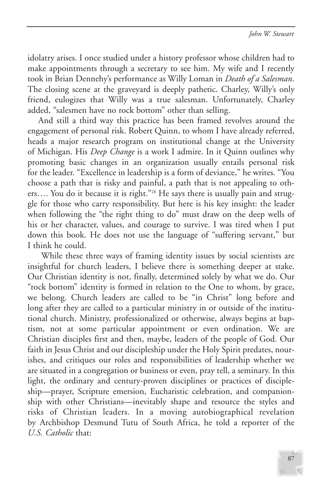idolatry arises. I once studied under a history professor whose children had to make appointments through a secretary to see him. My wife and I recently took in Brian Dennehy's performance as Willy Loman in *Death of a Salesman*. The closing scene at the graveyard is deeply pathetic. Charley, Willy's only friend, eulogizes that Willy was a true salesman. Unfortunately, Charley added, "salesmen have no rock bottom" other than selling.

And still a third way this practice has been framed revolves around the engagement of personal risk. Robert Quinn, to whom I have already referred, heads a major research program on institutional change at the University of Michigan. His *Deep Change* is a work I admire. In it Quinn outlines why promoting basic changes in an organization usually entails personal risk for the leader. "Excellence in leadership is a form of deviance," he writes. "You choose a path that is risky and painful, a path that is not appealing to others.... You do it because it is right."<sup>28</sup> He says there is usually pain and struggle for those who carry responsibility. But here is his key insight: the leader when following the "the right thing to do" must draw on the deep wells of his or her character, values, and courage to survive. I was tired when I put down this book. He does not use the language of "suffering servant," but I think he could.

While these three ways of framing identity issues by social scientists are insightful for church leaders, I believe there is something deeper at stake. Our Christian identity is not, finally, determined solely by what we do. Our "rock bottom" identity is formed in relation to the One to whom, by grace, we belong. Church leaders are called to be "in Christ" long before and long after they are called to a particular ministry in or outside of the institutional church. Ministry, professionalized or otherwise, always begins at baptism, not at some particular appointment or even ordination. We are Christian disciples first and then, maybe, leaders of the people of God. Our faith in Jesus Christ and our discipleship under the Holy Spirit predates, nourishes, and critiques our roles and responsibilities of leadership whether we are situated in a congregation or business or even, pray tell, a seminary. In this light, the ordinary and century-proven disciplines or practices of discipleship—prayer, Scripture emersion, Eucharistic celebration, and companionship with other Christians—inevitably shape and resource the styles and risks of Christian leaders. In a moving autobiographical revelation by Archbishop Desmund Tutu of South Africa, he told a reporter of the *U.S. Catholic* that:

87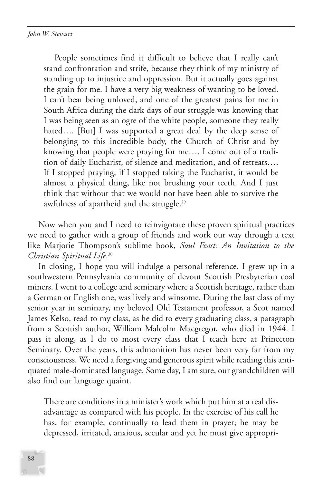People sometimes find it difficult to believe that I really can't stand confrontation and strife, because they think of my ministry of standing up to injustice and oppression. But it actually goes against the grain for me. I have a very big weakness of wanting to be loved. I can't bear being unloved, and one of the greatest pains for me in South Africa during the dark days of our struggle was knowing that I was being seen as an ogre of the white people, someone they really hated.... [But] I was supported a great deal by the deep sense of belonging to this incredible body, the Church of Christ and by knowing that people were praying for me…. I come out of a tradition of daily Eucharist, of silence and meditation, and of retreats…. If I stopped praying, if I stopped taking the Eucharist, it would be almost a physical thing, like not brushing your teeth. And I just think that without that we would not have been able to survive the awfulness of apartheid and the struggle.<sup>29</sup>

Now when you and I need to reinvigorate these proven spiritual practices we need to gather with a group of friends and work our way through a text like Marjorie Thompson's sublime book, *Soul Feast: An Invitation to the Christian Spiritual Life*. 30

In closing, I hope you will indulge a personal reference. I grew up in a southwestern Pennsylvania community of devout Scottish Presbyterian coal miners. I went to a college and seminary where a Scottish heritage, rather than a German or English one, was lively and winsome. During the last class of my senior year in seminary, my beloved Old Testament professor, a Scot named James Kelso, read to my class, as he did to every graduating class, a paragraph from a Scottish author, William Malcolm Macgregor, who died in 1944. I pass it along, as I do to most every class that I teach here at Princeton Seminary. Over the years, this admonition has never been very far from my consciousness. We need a forgiving and generous spirit while reading this antiquated male-dominated language. Some day, I am sure, our grandchildren will also find our language quaint.

There are conditions in a minister's work which put him at a real disadvantage as compared with his people. In the exercise of his call he has, for example, continually to lead them in prayer; he may be depressed, irritated, anxious, secular and yet he must give appropri-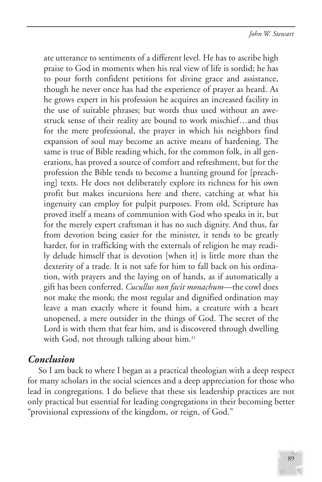ate utterance to sentiments of a different level. He has to ascribe high praise to God in moments when his real view of life is sordid; he has to pour forth confident petitions for divine grace and assistance, though he never once has had the experience of prayer as heard. As he grows expert in his profession he acquires an increased facility in the use of suitable phrases; but words thus used without an awestruck sense of their reality are bound to work mischief…and thus for the mere professional, the prayer in which his neighbors find expansion of soul may become an active means of hardening. The same is true of Bible reading which, for the common folk, in all generations, has proved a source of comfort and refreshment, but for the profession the Bible tends to become a hunting ground for [preaching] texts. He does not deliberately explore its richness for his own profit but makes incursions here and there, catching at what his ingenuity can employ for pulpit purposes. From old, Scripture has proved itself a means of communion with God who speaks in it, but for the merely expert craftsman it has no such dignity. And thus, far from devotion being easier for the minister, it tends to be greatly harder, for in trafficking with the externals of religion he may readily delude himself that is devotion [when it] is little more than the dexterity of a trade. It is not safe for him to fall back on his ordination, with prayers and the laying on of hands, as if automatically a gift has been conferred. *Cucullus non facit monachum*—the cowl does not make the monk; the most regular and dignified ordination may leave a man exactly where it found him, a creature with a heart unopened, a mere outsider in the things of God. The secret of the Lord is with them that fear him, and is discovered through dwelling with God, not through talking about him.<sup>31</sup>

### *Conclusion*

So I am back to where I began as a practical theologian with a deep respect for many scholars in the social sciences and a deep appreciation for those who lead in congregations. I do believe that these six leadership practices are not only practical but essential for leading congregations in their becoming better "provisional expressions of the kingdom, or reign, of God."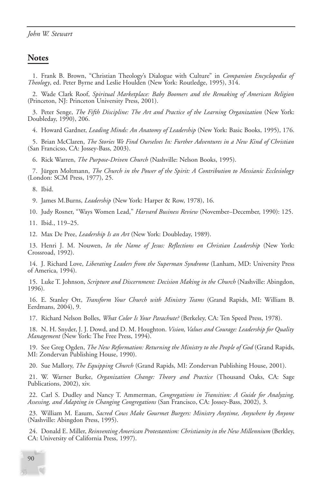### **Notes**

1. Frank B. Brown, "Christian Theology's Dialogue with Culture" in *Companion Encyclopedia of Theology*, ed. Peter Byrne and Leslie Houlden (New York: Routledge, 1995), 314.

2. Wade Clark Roof, *Spiritual Marketplace: Baby Boomers and the Remaking of American Religion* (Princeton, NJ: Princeton University Press, 2001).

3. Peter Senge, *The Fifth Discipline: The Art and Practice of the Learning Organization* (New York: Doubleday, 1990), 206.

4. Howard Gardner, *Leading Minds: An Anatomy of Leadership* (New York: Basic Books, 1995), 176.

5. Brian McClaren, *The Stories We Find Ourselves In: Further Adventures in a New Kind of Christian* (San Francicso, CA: Jossey-Bass, 2003).

6. Rick Warren, *The Purpose-Driven Church* (Nashville: Nelson Books, 1995).

7. Jürgen Moltmann, *The Church in the Power of the Spirit: A Contribution to Messianic Ecclesiology* (London: SCM Press, 1977), 25.

8. Ibid.

9. James M.Burns, *Leadership* (New York: Harper & Row, 1978), 16.

10. Judy Rosner, "Ways Women Lead," *Harvard Business Review* (November–December, 1990): 125.

11. Ibid., 119–25.

12. Max De Pree, *Leadership Is an Art* (New York: Doubleday, 1989).

13. Henri J. M. Nouwen, *In the Name of Jesus: Reflections on Christian Leadership* (New York: Crossroad, 1992).

14. J. Richard Love, *Liberating Leaders from the Superman Syndrome* (Lanham, MD: University Press of America, 1994).

15. Luke T. Johnson, *Scripture and Discernment: Decision Making in the Church* (Nashville: Abingdon, 1996).

16. E. Stanley Ott, *Transform Your Church with Ministry Teams* (Grand Rapids, MI: William B. Eerdmans, 2004), 9.

17. Richard Nelson Bolles, *What Color Is Your Parachute?* (Berkeley, CA: Ten Speed Press, 1978).

18. N. H. Snyder, J. J. Dowd, and D. M. Houghton. *Vision, Values and Courage: Leadership for Quality Management* (New York: The Free Press, 1994).

19. See Greg Ogden, *The New Reformation: Returning the Ministry to the People of God* (Grand Rapids, MI: Zondervan Publishing House, 1990).

20. Sue Mallory, *The Equipping Church* (Grand Rapids, MI: Zondervan Publishing House, 2001).

21. W. Warner Burke, *Organization Change: Theory and Practice* (Thousand Oaks, CA: Sage Publications, 2002), xiv.

22. Carl S. Dudley and Nancy T. Ammerman, *Congregations in Transition: A Guide for Analyzing, Assessing, and Adapting in Changing Congregations* (San Francisco, CA: Jossey-Bass, 2002), 3.

23. William M. Easum, *Sacred Cows Make Gourmet Burgers: Ministry Anytime, Anywhere by Anyone* (Nashville: Abingdon Press, 1995).

24. Donald E. Miller, *Reinventing American Protestantism: Christianity in the New Millennium* (Berkley, CA: University of California Press, 1997).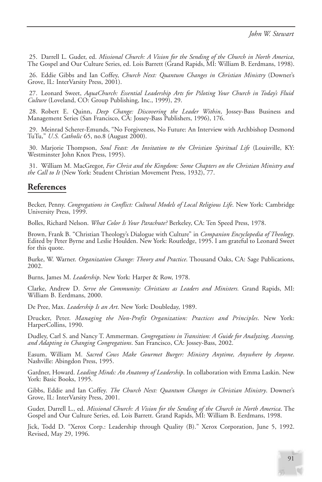25. Darrell L. Guder, ed. *Missional Church: A Vision for the Sending of the Church in North America*, The Gospel and Our Culture Series, ed. Lois Barrett (Grand Rapids, MI: William B. Eerdmans, 1998).

26. Eddie Gibbs and Ian Coffey, *Church Next: Quantum Changes in Christian Ministry* (Downer's Grove, IL: InterVarsity Press, 2001).

27. Leonard Sweet, *AquaChurch: Essential Leadership Arts for Piloting Your Church in Today's Fluid Culture* (Loveland, CO: Group Publishing, Inc., 1999), 29.

28. Robert E. Quinn, *Deep Change: Discovering the Leader Within*, Jossey-Bass Business and Management Series (San Francisco, CA: Jossey-Bass Publishers, 1996), 176.

29. Meinrad Scherer-Emunds, "No Forgiveness, No Future: An Interview with Archbishop Desmond TuTu," *U.S. Catholic* 65, no.8 (August 2000).

30. Marjorie Thompson, *Soul Feast: An Invitation to the Christian Spiritual Life* (Louisville, KY: Westminster John Knox Press, 1995).

31. William M. MacGregor, *For Christ and the Kingdom: Some Chapters on the Christian Ministry and the Call to It* (New York: Student Christian Movement Press, 1932), 77.

### **References**

Becker, Penny. *Congregations in Conflict: Cultural Models of Local Religious Life*. New York: Cambridge University Press, 1999.

Bolles, Richard Nelson. *What Color Is Your Parachute?* Berkeley, CA: Ten Speed Press, 1978.

Brown, Frank B. "Christian Theology's Dialogue with Culture" in *Companion Encyclopedia of Theology*. Edited by Peter Byrne and Leslie Houlden. New York: Routledge, 1995. I am grateful to Leonard Sweet for this quote.

Burke, W. Warner. *Organization Change: Theory and Practice*. Thousand Oaks, CA: Sage Publications, 2002.

Burns, James M. *Leadership*. New York: Harper & Row, 1978.

Clarke, Andrew D. *Serve the Community: Christians as Leaders and Ministers.* Grand Rapids, MI: William B. Eerdmans, 2000.

De Pree, Max. *Leadership Is an Art*. New York: Doubleday, 1989.

Drucker, Peter. *Managing the Non-Profit Organization: Practices and Principles*. New York: HarperCollins, 1990.

Dudley, Carl S. and Nancy T. Ammerman. *Congregations in Transition: A Guide for Analyzing, Assessing, and Adapting in Changing Congregations*. San Francisco, CA: Jossey-Bass, 2002.

Easum, William M. *Sacred Cows Make Gourmet Burger: Ministry Anytime, Anywhere by Anyone*. Nashville: Abingdon Press, 1995.

Gardner, Howard. *Leading Minds: An Anatomy of Leadership*. In collaboration with Emma Laskin. New York: Basic Books, 1995.

Gibbs, Eddie and Ian Coffey. *The Church Next: Quantum Changes in Christian Ministry*. Downer's Grove, IL: InterVarsity Press, 2001.

Guder, Darrell L., ed. *Missional Church: A Vision for the Sending of the Church in North America*. The Gospel and Our Culture Series, ed. Lois Barrett. Grand Rapids, MI: William B. Eerdmans, 1998.

Jick, Todd D. "Xerox Corp.: Leadership through Quality (B)." Xerox Corporation, June 5, 1992. Revised, May 29, 1996.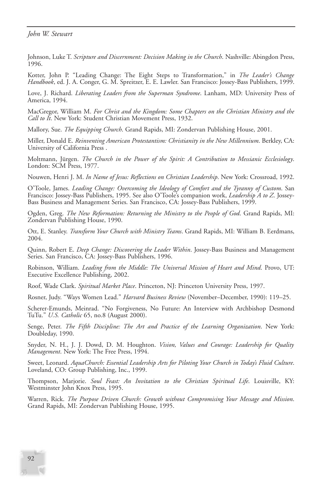Johnson, Luke T. *Scripture and Discernment: Decision Making in the Church*. Nashville: Abingdon Press, 1996.

Kotter, John P. "Leading Change: The Eight Steps to Transformation," in *The Leader's Change Handbook*, ed. J. A. Conger, G. M. Spreitzer, E. E. Lawler. San Francisco: Jossey-Bass Publishers, 1999.

Love, J. Richard. *Liberating Leaders from the Superman Syndrome*. Lanham, MD: University Press of America, 1994.

MacGregor, William M. *For Christ and the Kingdom: Some Chapters on the Christian Ministry and the Call to It*. New York: Student Christian Movement Press, 1932.

Mallory, Sue. *The Equipping Church*. Grand Rapids, MI: Zondervan Publishing House, 2001.

Miller, Donald E. *Reinventing American Protestantism: Christianity in the New Millennium*. Berkley, CA: University of California Press .

Moltmann, Jürgen. *The Church in the Power of the Spirit: A Contribution to Messianic Ecclesiology*. London: SCM Press, 1977.

Nouwen, Henri J. M. *In Name of Jesus: Reflections on Christian Leadership*. New York: Crossroad, 1992.

O'Toole, James. *Leading Change: Overcoming the Ideology of Comfort and the Tyranny of Custom*. San Francisco: Jossey-Bass Publishers, 1995. See also O'Toole's companion work, *Leadership A to Z*. Jossey-Bass Business and Management Series. San Francisco, CA: Jossey-Bass Publishers, 1999.

Ogden, Greg. *The New Reformation: Returning the Ministry to the People of God*. Grand Rapids, MI: Zondervan Publishing House, 1990.

Ott, E. Stanley. *Transform Your Church with Ministry Teams*. Grand Rapids, MI: William B. Eerdmans, 2004.

Quinn, Robert E. *Deep Change: Discovering the Leader Within*. Jossey-Bass Business and Management Series. San Francisco, CA: Jossey-Bass Publishers, 1996.

Robinson, William. *Leading from the Middle: The Universal Mission of Heart and Mind*. Provo, UT: Executive Excellence Publishing, 2002.

Roof, Wade Clark. *Spiritual Market Place*. Princeton, NJ: Princeton University Press, 1997.

Rosner, Judy. "Ways Women Lead." *Harvard Business Review* (November–December, 1990): 119–25.

Scherer-Emunds, Meinrad. "No Forgiveness, No Future: An Interview with Archbishop Desmond TuTu." *U.S. Catholic* 65, no.8 (August 2000).

Senge, Peter. *The Fifth Discipline: The Art and Practice of the Learning Organization*. New York: Doubleday, 1990.

Snyder, N. H., J. J. Dowd, D. M. Houghton. *Vision, Values and Courage: Leadership for Quality Management*. New York: The Free Press, 1994.

Sweet, Leonard. *AquaChurch: Essential Leadership Arts for Piloting Your Church in Today's Fluid Culture*. Loveland, CO: Group Publishing, Inc., 1999.

Thompson, Marjorie. *Soul Feast: An Invitation to the Christian Spiritual Life*. Louisville, KY: Westminster John Knox Press, 1995.

Warren, Rick. *The Purpose Driven Church: Growth without Compromising Your Message and Mission*. Grand Rapids, MI: Zondervan Publishing House, 1995.